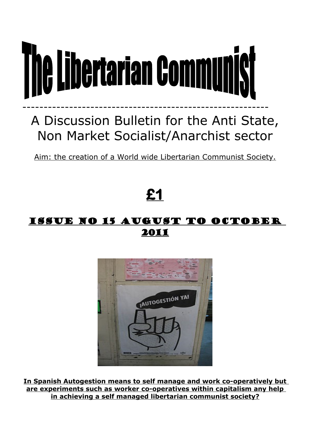

# A Discussion Bulletin for the Anti State, Non Market Socialist/Anarchist sector

Aim: the creation of a World wide Libertarian Communist Society.

# **£1**

## Issue no 15 August to October 2011



**In Spanish Autogestion means to self manage and work co-operatively but are experiments such as worker co-operatives within capitalism any help in achieving a self managed libertarian communist society?**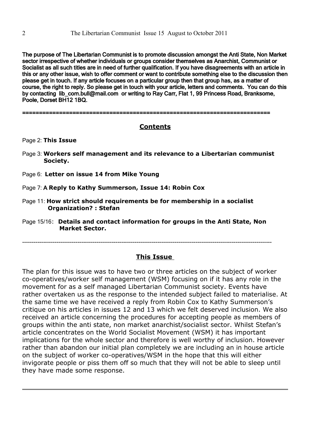The purpose of The Libertarian Communist is to promote discussion amongst the Anti State, Non Market sector irrespective of whether individuals or groups consider themselves as Anarchist, Communist or Socialist as all such titles are in need of further qualification. If you have disagreements with an article in this or any other issue, wish to offer comment or want to contribute something else to the discussion then please get in touch. If any article focuses on a particular group then that group has, as a matter of course, the right to reply. So please get in touch with your article, letters and comments. You can do this by contacting lib\_com.bull@mail.com or writing to Ray Carr, Flat 1, 99 Princess Road, Branksome, Poole, Dorset BH12 1BQ.

==========================================================================

## **Contents**

Page 2: **This Issue** 

- Page 3: **Workers self management and its relevance to a Libertarian communist Society.**
- Page 6: **Letter on issue 14 from Mike Young**
- Page 7: A **Reply to Kathy Summerson, Issue 14: Robin Cox**
- Page 11: **How strict should requirements be for membership in a socialist Organization? : Stefan**
- Page 15/16: **Details and contact information for groups in the Anti State, Non Market Sector.**

-----------------------------------------------------------------------------------------------------------------------------------

#### **This Issue**

The plan for this issue was to have two or three articles on the subject of worker co-operatives/worker self management (WSM) focusing on if it has any role in the movement for as a self managed Libertarian Communist society. Events have rather overtaken us as the response to the intended subject failed to materialise. At the same time we have received a reply from Robin Cox to Kathy Summerson's critique on his articles in issues 12 and 13 which we felt deserved inclusion. We also received an article concerning the procedures for accepting people as members of groups within the anti state, non market anarchist/socialist sector. Whilst Stefan's article concentrates on the World Socialist Movement (WSM) it has important implications for the whole sector and therefore is well worthy of inclusion. However rather than abandon our initial plan completely we are including an in house article on the subject of worker co-operatives/WSM in the hope that this will either invigorate people or piss them off so much that they will not be able to sleep until they have made some response.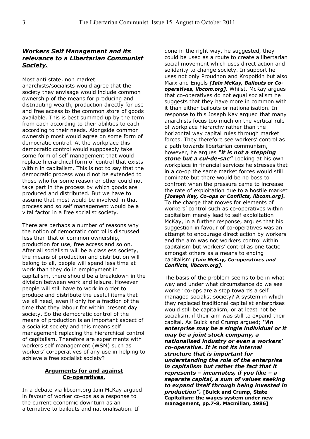#### *Workers Self Manage ment and its relevance to a Libertarian Communist Society.*

Most anti state, non market anarchists/socialists would agree that the society they envisage would include common ownership of the means for producing and distributing wealth, production directly for use and free access to the common store of goods available. This is best summed up by the term from each according to their abilities to each according to their needs. Alongside common ownership most would agree on some form of democratic control. At the workplace this democratic control would supposedly take some form of self management that would replace hierarchical form of control that exists within in capitalism. This is not to say that the democratic process would not be extended to those who for some reason or other could not take part in the process by which goods are produced and distributed. But we have to assume that most would be involved in that process and so self management would be a vital factor in a free socialist society.

There are perhaps a number of reasons why the notion of democratic control is discussed less than that of common ownership, production for use, free access and so on. After all socialism will be a classless society, the means of production and distribution will belong to all, people will spend less time at work than they do in employment in capitalism, there should be a breakdown in the division between work and leisure. However people will still have to work in order to produce and distribute the useful items that we all need, even if only for a fraction of the time that they labour for within present day society. So the democratic control of the means of production is an important aspect of a socialist society and this means self management replacing the hierarchical control of capitalism. Therefore are experiments with workers self management (WSM) such as workers' co-operatives of any use in helping to achieve a free socialist society?

#### **Arguments for and against Co-operatives.**

In a debate via libcom.org Iain McKay argued in favour of worker co-ops as a response to the current economic downturn as an alternative to bailouts and nationalisation. If

done in the right way, he suggested, they could be used as a route to create a libertarian social movement which uses direct action and solidarity to change society. In support he uses not only Proudhon and Kropotkin but also Marx and Engels *[Iain McKay, Bailouts or Cooperatives, libcom.org].* Whilst, McKay argues that co-operatives do not equal socialism he suggests that they have more in common with it than either bailouts or nationalisation. In response to this Joseph Kay argued that many anarchists focus too much on the vertical rule of workplace hierarchy rather than the horizontal way capital rules through market forces. They therefore see workers' control as a path towards libertarian communism, however, he argues *"it is not a stepping stone but a cul-de-sac"* Looking at his own workplace in financial services he stresses that in a co-op the same market forces would still dominate but there would be no boss to confront when the pressure came to increase the rate of exploitation due to a hostile market *[Joseph Kay, Co-ops or Conflicts, libcom.org].* To the charge that moves for elements of workers' control such as co-operatives within capitalism merely lead to self exploitation McKay, in a further response, argues that his suggestion in favour of co-operatives was an attempt to encourage direct action by workers and the aim was not workers control within capitalism but workers' control as one tactic amongst others as a means to ending capitalism *[Iain McKay, Co-operatives and Conflicts, libcom.org].*

The basis of the problem seems to be in what way and under what circumstance do we see worker co-ops are a step towards a self managed socialist society? A system in which they replaced traditional capitalist enterprises would still be capitalism, or at least not be socialism, if their aim was still to expand their capital. As Buick and Crump argued; *"An enterprise may be a single individual or it may be a joint stock company, a nationalised industry or even a workers' co-operative. It is not its internal structure that is important for understanding the role of the enterprise in capitalism but rather the fact that it represents – incarnates, if you like – a separate capital, a sum of values seeking to expand itself through being invested in production".* **[Buick and Crump, State Capitalism: the wages system under new management, pp.7-8, Macmillan, 1986]**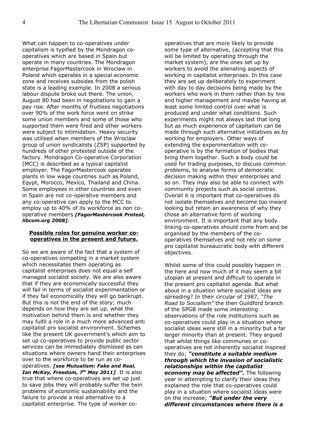What can happen to co-operatives under capitalism is typified by the Mondragon cooperatives which are based in Spain but operate in many countries. The Mondragon enterprise FagorMastercook in Wroclaw in Poland which operates in a special economic zone and receives subsides from the polish state is a leading example. In 2008 a serious labour dispute broke out there. The union, August 80 had been in negotiations to gain a pay rise. After months of fruitless negotiations over 90% of the work force went on strike some union members and some of those who supported them were fired and other workers were subject to intimidation. Heavy security was utilised when members of the Wroclaw group of union syndicalists (ZSP) supported by hundreds of other protested outside of the factory. Mondragon Co-operative Corporation (MCC) is described as a typical capitalist employer. The FagorMastercook operates plants in low wage countries such as Poland, Egypt, Morocco, Mexico, Thailand and China. Some employees in other countries and even in Spain are not co-operative members and any co-operative can apply to the MCC to employ up to 40% of its workforce as non cooperative members *[FagorMastercook Protest, libcom.org 2008].*

#### **Possible roles for genuine worker cooperatives in the present and future.**

So we are aware of the fact that a system of co-operatives competing in a market system which necessitates them operating as capitalist enterprises does not equal a self managed socialist society. We are also aware that if they are economically successful they will fail in terms of socialist experimentation or if they fail economically they will go bankrupt. But this is not the end of the story; much depends on how they are set up, what the motivation behind them is and whether they may fulfil a role in a much more advanced anti capitalist pro socialist environment. Schemes like the present UK government's which aim to set up co-operatives to provide public sector services can be immediately dismissed as can situations where owners hand their enterprises over to the workforce to be run as cooperatives. *[see Mutualism: Fake and Real, Ian McKay, Freedom, 7<sup>th</sup> May 2011]* It is also true that where co-operatives are set up just to save jobs they will probably suffer the twin problems of economic sustainability and the failure to provide a real alternative to a capitalist enterprise. The type of worker cooperatives that are more likely to provide some type of alternative, (accepting that this will be limited by operating through the market system), are the ones set up by workers to avoid the alienating aspects of working in capitalist enterprises. In this case they are set up deliberately to experiment with day to day decisions being made by the workers who work in them rather than by line and higher management and maybe having at least some limited control over what is produced and under what conditions. Such experiments might not always last that long but as much experience of capitalism can be made through such alternative initiatives as by working for employers. Other ways of extending the experimentation with cooperative is by the formation of bodies that bring them together. Such a body could be used for trading purposes, to discuss common problems, to analyse forms of democratic decision making within their enterprises and so on. They may also be able to connect with community projects such as social centres. Overall it is important that co-operatives do not isolate themselves and become too inward looking but retain an awareness of why they chose an alternative form of working environment. It is important that any body linking co-operatives should come from and be organised by the members of the cooperatives themselves and not rely on some pro capitalist bureaucratic body with different objectives.

Whilst some of this could possibly happen in the here and now much of it may seem a bit utopian at present and difficult to operate in the present pro capitalist agenda. But what about in a situation where socialist ideas are spreading? In their circular of 1987, *"The Road to Socialism"* the then Guildford branch of the SPGB made some interesting observations of the role institutions such as co-operatives could play in a situation where socialist ideas were still in a minority but a far larger minority than at present. They argued that whilst things like communes or cooperatives are not inherently socialist inspired they do; *"constitute a suitable medium through which the invasion of socialistic relationships within the capitalist economy may be affected".* The following year in attempting to clarify their ideas they explained the role that co-operatives could play in a situation where socialist ideas were on the increase; *"But under the very different circumstances where there is a*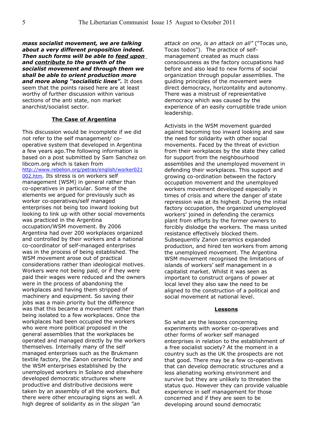*mass socialist movement, we are talking about a very different proposition indeed. Then such forms will be able to feed upon and contribute to the growth of the socialist movement and through them we shall be able to orient production more and more along "socialistic lines".* It does seem that the points raised here are at least worthy of further discussion within various sections of the anti state, non market anarchist/socialist sector.

#### **The Case of Argentina**

This discussion would be incomplete if we did not refer to the self management/ cooperative system that developed in Argentina a few years ago.The following information is based on a post submitted by Sam Sanchez on libcom.org which is taken from [http://www.rebelion.org/petras/english/worker021](http://www.rebelion.org/petras/english/worker021002.htm) [002.htm](http://www.rebelion.org/petras/english/worker021002.htm). Its stress is on workers self management (WSM) in general rather than co-operatives in particular. Some of the elements we argued for previously such as

worker co-operatives/self managed enterprises not being too inward looking but looking to link up with other social movements was practiced in the Argentina occupation/WSM movement. By 2006 Argentina had over 200 workplaces organized and controlled by their workers and a national co-coordinator of self-managed enterprises was in the process of being established. The WSM movement arose out of practical considerations rather than ideological motives. Workers were not being paid, or if they were paid their wages were reduced and the owners were in the process of abandoning the workplaces and having them stripped of machinery and equipment. So saving their jobs was a main priority but the difference was that this became a movement rather than being isolated to a few workplaces. Once the workplaces had been occupied the workers who were more political proposed in the general assemblies that the workplaces be operated and managed directly by the workers themselves. Internally many of the self managed enterprises such as the Brukmann textile factory, the Zanon ceramic factory and the WSM enterprises established by the unemployed workers in Solano and elsewhere developed democratic structures where productive and distributive decisions were taken by an assembly of all the workers. But there were other encouraging signs as well. A high degree of solidarity as in the *slogan "an*

*attack on one, is an attack on all"* ("Tocas uno, Tocas todos"). The practice of selfmanagement created as much class consciousness as the factory occupations had before and also lead to new forms of social organization through popular assemblies. The guiding principles of the movement were direct democracy, horizontality and autonomy. There was a mistrust of representative democracy which was caused by the experience of an easily corruptible trade union leadership.

Activists in the WSM movement guarded against becoming too inward looking and saw the need for solidarity with other social movements. Faced by the threat of eviction from their workplaces by the state they called for support from the neighbourhood assemblies and the unemployed movement in defending their workplaces. This support and growing co-ordination between the factory occupation movement and the unemployed workers movement developed especially in times of crisis and where the danger of state repression was at its highest. During the initial factory occupation, the organized unemployed workers' joined in defending the ceramics plant from efforts by the former owners to forcibly dislodge the workers. The mass united resistance effectively blocked them. Subsequently Zanon ceramics expanded production, and hired ten workers from among the unemployed movement. The Argentina WSM movement recognised the limitations of islands of workers' self management in a capitalist market. Whilst it was seen as important to construct organs of power at local level they also saw the need to be aligned to the construction of a political and social movement at national level.

#### **Lessons**

So what are the lessons concerning experiments with worker co-operatives and other forms of worker self managed enterprises in relation to the establishment of a free socialist society? At the moment in a country such as the UK the prospects are not that good. There may be a few co-operatives that can develop democratic structures and a less alienating working environment and survive but they are unlikely to threaten the status quo. However they can provide valuable experience in self management for those concerned and if they are seen to be developing around sound democratic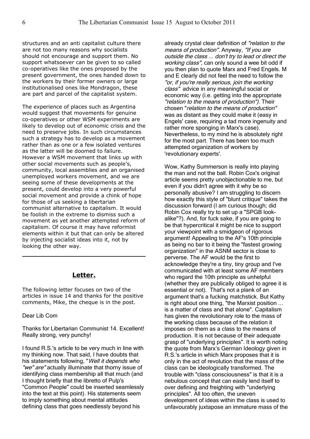structures and an anti capitalist culture there are not too many reasons why socialists should not encourage and support them. No support whatsoever can be given to so called co-operatives like the ones proposed by the present government, the ones handed down to the workers by their former owners or large institutionalised ones like Mondragon, these are part and parcel of the capitalist system.

The experience of places such as Argentina would suggest that movements for genuine co-operatives or other WSM experiments are likely to develop out of economic crisis and the need to preserve jobs. In such circumstances such a strategy has to develop as a movement rather than as one or a few isolated ventures as the latter will be doomed to failure. However a WSM movement that links up with other social movements such as people's, community, local assemblies and an organised unemployed workers movement, and we are seeing some of these developments at the present, could develop into a very powerful social movement and provide a chink of hope for those of us seeking a libertarian communist alternative to capitalism. It would be foolish in the extreme to dismiss such a movement as yet another attempted reform of capitalism. Of course it may have reformist elements within it but that can only be altered by injecting socialist ideas into it, not by looking the other way.

#### **Letter.**

The following letter focuses on two of the articles in issue 14 and thanks for the positive comments, Mike, the cheque is in the post.

#### Dear Lib Com

Thanks for Libertarian Communist 14. Excellent! Really strong, very punchy!

I found R.S.'s article to be very much in line with my thinking now. That said, I have doubts that his statements following, "Well it depends who "we" are" actually illuminate that thorny issue of identifying class membership all that much (and I thought briefly that the libretto of Pulp's "Common People" could be inserted seamlessly into the text at this point). His statements seem to imply something about mental attitudes defining class that goes needlessly beyond his

already crystal clear definition of "relation to the means of production". Anyway, "If you are outside the class ... don't try to lead or direct the working class", can only sound a wee bit odd if you then plan to quote Marx and Fred Engels. M and E clearly did not feel the need to follow the "or, if you're really serious, join the working class" advice in any meaningful social or economic way (i.e. getting into the appropriate "relation to the means of production"). Their chosen "relation to the means of production" was as distant as they could make it (easy in Engels' case, requiring a tad more ingenuity and rather more sponging in Marx's case). Nevertheless, to my mind he is absolutely right for the most part. There has been too much attempted organization of workers by 'revolutionary experts'.

Wow, Kathy Summerson is really into playing the man and not the ball. Robin Cox's original article seems pretty unobjectionable to me, but even if you didn't agree with it why be so personally abusive? I am struggling to discern how exactly this style of "blunt critique" takes the discussion forward (I am curious though; did Robin Cox really try to set up a "SPGB lookalike"?). And, for fuck sake, if you are going to be that hypercritical it might be nice to support your viewpoint with a smidgeon of rigorous argument! Appealing to the AF's 10th principle as being no bar to it being the "fastest growing organization" in the ASNM sector is close to perverse. The AF would be the first to acknowledge they're a tiny, tiny group and I've communicated with at least some AF members who regard the 10th principle as unhelpful (whether they are publically obliged to agree it is essential or not). That's not a plank of an argument that's a fucking matchstick. But Kathy is right about one thing, "the Marxist position ... is a matter of class and that alone". Capitalism has given the revolutionary role to the mass of the working class because of the relation it imposes on them as a class to the means of production. It is not because of their adequate grasp of "underlying principles". It is worth noting the quote from Marx's German Ideology given in R.S.'s article in which Marx proposes that it is only in the act of revolution that the mass of the class can be ideologically transformed. The trouble with "class consciousness" is that it is a nebulous concept that can easily lend itself to over defining and freighting with "underlying principles". All too often, the uneven development of ideas within the class is used to unfavourably juxtapose an immature mass of the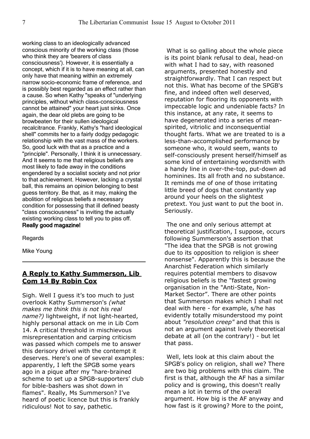working class to an ideologically advanced conscious minority of the working class (those who think they are 'bearers of class consciousness'). However, it is essentially a concept, which if it is to have meaning at all, can only have that meaning within an extremely narrow socio-economic frame of reference, and is possibly best regarded as an effect rather than a cause. So when Kathy "speaks of "underlying principles, without which class-consciousness cannot be attained" your heart just sinks. Once again, the dear old plebs are going to be browbeaten for their sullen ideological recalcitrance. Frankly, Kathy's "hard ideological shell" commits her to a fairly dodgy pedagogic relationship with the vast mass of the workers. So, good luck with that as a practice and a "principle". Personally, I think it is unnecessary. And It seems to me that religious beliefs are most likely to fade away in the conditions engendered by a socialist society and not prior to that achievement. However, lacking a crystal ball, this remains an opinion belonging to best guess territory. Be that, as it may, making the abolition of religious beliefs a necessary condition for possessing that ill defined beasty "class consciousness" is inviting the actually existing working class to tell you to piss off. Really good magazine!

**Regards** 

Mike Young

## **A Reply to Kathy Summerson, Lib Com 14 By Robin Cox**

Sigh. Well I guess it's too much to just overlook Kathy Summerson's *(what makes me think this is not his real name?)* lightweight, if not light-hearted, highly personal attack on me in Lib Com 14. A critical threshold in mischievous misrepresentation and carping criticism was passed which compels me to answer this derisory drivel with the contempt it deserves. Here's one of several examples: apparently, I left the SPGB some years ago in a pique after my "hare-brained scheme to set up a SPGB-supporters' club for bible-bashers was shot down in flames". Really, Ms Summerson? I've heard of poetic licence but this is frankly ridiculous! Not to say, pathetic.

 What is so galling about the whole piece is its point blank refusal to deal, head-on with what I had to say, with reasoned arguments, presented honestly and straightforwardly. That I can respect but not this. What has become of the SPGB's fine, and indeed often well deserved, reputation for flooring its opponents with impeccable logic and undeniable facts? In this instance, at any rate, it seems to have degenerated into a series of meanspirited, vitriolic and inconsequential thought farts. What we are treated to is a less-than-accomplished performance by someone who, it would seem, wants to self-consciously present herself/himself as some kind of entertaining wordsmith with a handy line in over-the-top, put-down ad hominines. Its all froth and no substance. It reminds me of one of those irritating little breed of dogs that constantly yap around your heels on the slightest pretext. You just want to put the boot in. Seriously.

 The one and only serious attempt at theoretical justification, I suppose, occurs following Summerson's assertion that "The idea that the SPGB is not growing due to its opposition to religion is sheer nonsense". Apparently this is because the Anarchist Federation which similarly requires potential members to disavow religious beliefs is the "fastest growing organisation in the "Anti-State, Non-Market Sector". There are other points that Summerson makes which I shall not deal with here - for example, s/he has evidently totally misunderstood my point about *"resolution creep"* and that this is not an argument against lively theoretical debate at all (on the contrary!) - but let that pass.

 Well, lets look at this claim about the SPGB's policy on religion, shall we? There are two big problems with this claim. The first is that, although the AF has a similar policy and is growing, this doesn't really mean a lot in terms of the overall argument. How big is the AF anyway and how fast is it growing? More to the point,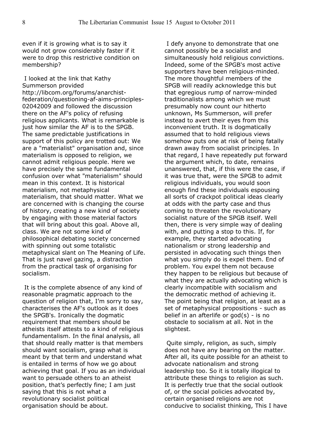even if it is growing what is to say it would not grow considerably faster if it were to drop this restrictive condition on membership?

 I looked at the link that Kathy Summerson provided http://libcom.org/forums/anarchistfederation/questioning-af-aims-principles-02042009 and followed the discussion there on the AF's policy of refusing religious applicants. What is remarkable is just how similar the AF is to the SPGB. The same predictable justifications in support of this policy are trotted out: We are a "materialist" organisation and, since materialism is opposed to religion, we cannot admit religious people. Here we have precisely the same fundamental confusion over what "materialism" should mean in this context. It is historical materialism, not metaphysical materialism, that should matter. What we are concerned with is changing the course of history, creating a new kind of society by engaging with those material factors that will bring about this goal. Above all, class. We are not some kind of philosophical debating society concerned with spinning out some totalistic metaphysical slant on The Meaning of Life. That is just navel gazing, a distraction from the practical task of organising for socialism.

 It is the complete absence of any kind of reasonable pragmatic approach to the question of religion that, I'm sorry to say, characterises the AF's outlook as it does the SPGB's. Ironically the dogmatic requirement that members should be atheists itself attests to a kind of religious fundamentalism. In the final analysis, all that should really matter is that members should want socialism, grasp what is meant by that term and understand what is entailed in terms of how we go about achieving that goal. If you as an individual want to persuade others to an atheist position, that's perfectly fine; I am just saying that this is not what a revolutionary socialist political organisation should be about.

 I defy anyone to demonstrate that one cannot possibly be a socialist and simultaneously hold religious convictions. Indeed, some of the SPGB's most active supporters have been religious-minded. The more thoughtful members of the SPGB will readily acknowledge this but that egregious rump of narrow-minded traditionalists among which we must presumably now count our hitherto unknown, Ms Summerson, will prefer instead to avert their eyes from this inconvenient truth. It is dogmatically assumed that to hold religious views somehow puts one at risk of being fatally drawn away from socialist principles. In that regard, I have repeatedly put forward the argument which, to date, remains unanswered, that, if this were the case, if it was true that, were the SPGB to admit religious individuals, you would soon enough find these individuals espousing all sorts of crackpot political ideas clearly at odds with the party case and thus coming to threaten the revolutionary socialist nature of the SPGB itself. Well then, there is very simple way of dealing with, and putting a stop to this. If, for example, they started advocating nationalism or strong leadership and persisted in advocating such things then what you simply do is expel them. End of problem. You expel them not because they happen to be religious but because of what they are actually advocating which is clearly incompatible with socialism and the democratic method of achieving it. The point being that religion, at least as a set of metaphysical propositions - such as belief in an afterlife or  $\text{god}(s)$  - is no obstacle to socialism at all. Not in the slightest.

 Quite simply, religion, as such, simply does not have any bearing on the matter. After all, its quite possible for an atheist to advocate nationalism and strong leadership too. So it is totally illogical to attribute these things to religion as such. It is perfectly true that the social outlook of, or the social policies advocated by, certain organised religions are not conducive to socialist thinking, This I have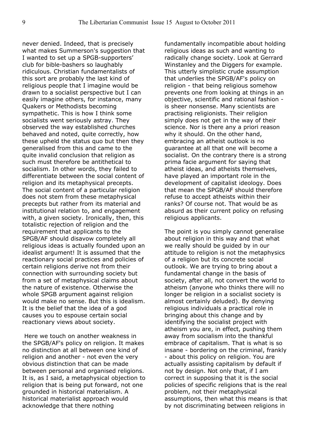never denied. Indeed, that is precisely what makes Summerson's suggestion that I wanted to set up a SPGB-supporters' club for bible-bashers so laughably ridiculous. Christian fundamentalists of this sort are probably the last kind of religious people that I imagine would be drawn to a socialist perspective but I can easily imagine others, for instance, many Quakers or Methodists becoming sympathetic. This is how I think some socialists went seriously astray. They observed the way established churches behaved and noted, quite correctly, how these upheld the status quo but then they generalised from this and came to the quite invalid conclusion that religion as such must therefore be antithetical to socialism. In other words, they failed to differentiate between the social content of religion and its metaphysical precepts. The social content of a particular religion does not stem from these metaphysical precepts but rather from its material and institutional relation to, and engagement with, a given society. Ironically, then, this totalistic rejection of religion and the requirement that applicants to the SPGB/AF should disavow completely all religious ideas is actually founded upon an idealist argument! It is assumed that the reactionary social practices and policies of certain religions derive not from their connection with surrounding society but from a set of metaphysical claims about the nature of existence. Otherwise the whole SPGB argument against religion would make no sense. But this is idealism. It is the belief that the idea of a god causes you to espouse certain social reactionary views about society.

 Here we touch on another weakness in the SPGB/AF's policy on religion. It makes no distinction at all between one kind of religion and another - not even the very obvious distinction that can be made between personal and organised religions. It is, as I said, a metaphysical objection to religion that is being put forward, not one grounded in historical materialism. A historical materialist approach would acknowledge that there nothing

fundamentally incompatible about holding religious ideas as such and wanting to radically change society. Look at Gerrard Winstanley and the Diggers for example. This utterly simplistic crude assumption that underlies the SPGB/AF's policy on religion - that being religious somehow prevents one from looking at things in an objective, scientific and rational fashion is sheer nonsense. Many scientists are practising religionists. Their religion simply does not get in the way of their science. Nor is there any a priori reason why it should. On the other hand, embracing an atheist outlook is no guarantee at all that one will become a socialist. On the contrary there is a strong prima facie argument for saying that atheist ideas, and atheists themselves, have played an important role in the development of capitalist ideology. Does that mean the SPGB/AF should therefore refuse to accept atheists within their ranks? Of course not. That would be as absurd as their current policy on refusing religious applicants.

The point is you simply cannot generalise about religion in this way and that what we really should be guided by in our attitude to religion is not the metaphysics of a religion but its concrete social outlook. We are trying to bring about a fundamental change in the basis of society, after all, not convert the world to atheism (anyone who thinks there will no longer be religion in a socialist society is almost certainly deluded). By denying religious individuals a practical role in bringing about this change and by identifying the socialist project with atheism you are, in effect, pushing them away from socialism into the thankful embrace of capitalism. That is what is so insane - bordering on the criminal, frankly - about this policy on religion. You are actually assisting capitalism by default if not by design. Not only that, if I am correct in supposing that it is the social policies of specific religions that is the real problem, not their metaphysical assumptions, then what this means is that by not discriminating between religions in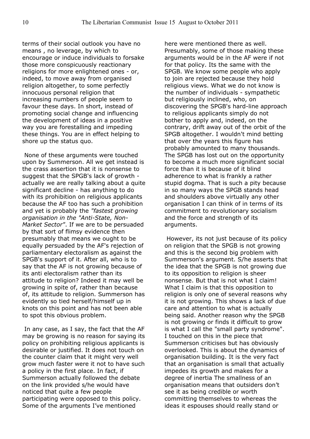terms of their social outlook you have no means , no leverage, by which to encourage or induce individuals to forsake those more conspicuously reactionary religions for more enlightened ones - or, indeed, to move away from organised religion altogether, to some perfectly innocuous personal religion that increasing numbers of people seem to favour these days. In short, instead of promoting social change and influencing the development of ideas in a positive way you are forestalling and impeding these things. You are in effect helping to shore up the status quo.

 None of these arguments were touched upon by Summerson. All we get instead is the crass assertion that it is nonsense to suggest that the SPGB's lack of growth actually we are really talking about a quite significant decline - has anything to do with its prohibition on religious applicants because the AF too has such a prohibition and yet is probably the *"fastest growing organisation in the "Anti-State, Non-Market Sector"*. If we are to be persuaded by that sort of flimsy evidence then presumably that means we ought to be equally persuaded by the AF's rejection of parliamentary electoralism as against the SPGB's support of it. After all, who is to say that the AF is not growing because of its anti electoralism rather than its attitude to religion? Indeed it may well be growing in spite of, rather than because of, its attitude to religion. Summerson has evidently so tied herself/himself up in knots on this point and has not been able to spot this obvious problem.

 In any case, as I say, the fact that the AF may be growing is no reason for saying its policy on prohibiting religious applicants is desirable or justified. It does not touch on the counter claim that it might very well grow much faster were it not to have such a policy in the first place. In fact, if Summerson actually followed the debate on the link provided s/he would have noticed that quite a few people participating were opposed to this policy. Some of the arguments I've mentioned

here were mentioned there as well. Presumably, some of those making these arguments would be in the AF were if not for that policy. Its the same with the SPGB. We know some people who apply to join are rejected because they hold religious views. What we do not know is the number of individuals - sympathetic but religiously inclined, who, on discovering the SPGB's hard-line approach to religious applicants simply do not bother to apply and, indeed, on the contrary, drift away out of the orbit of the SPGB altogether. I wouldn't mind betting that over the years this figure has probably amounted to many thousands. The SPGB has lost out on the opportunity to become a much more significant social force than it is because of it blind adherence to what is frankly a rather stupid dogma. That is such a pity because in so many ways the SPGB stands head and shoulders above virtually any other organisation I can think of in terms of its commitment to revolutionary socialism and the force and strength of its arguments.

 However, its not just because of its policy on religion that the SPGB is not growing and this is the second big problem with Summerson's argument. S/he asserts that the idea that the SPGB is not growing due to its opposition to religion is sheer nonsense. But that is not what I claim! What I claim is that this opposition to religion is only one of several reasons why it is not growing. This shows a lack of due care and attention to what is actually being said. Another reason why the SPGB is not growing or finds it difficult to grow is what I call the "small party syndrome". I touched on this in the piece that Summerson criticises but has obviously overlooked. This is about the dynamics of organisation building. It is the very fact that an organisation is small that actually impedes its growth and makes for a degree of inertia The smallness of an organisation means that outsiders don't see it as being credible or worth committing themselves to whereas the ideas it espouses should really stand or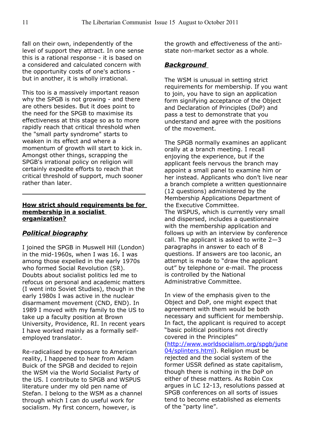fall on their own, independently of the level of support they attract. In one sense this is a rational response - it is based on a considered and calculated concern with the opportunity costs of one's actions but in another, it is wholly irrational.

This too is a massively important reason why the SPGB is not growing - and there are others besides. But it does point to the need for the SPGB to maximise its effectiveness at this stage so as to more rapidly reach that critical threshold when the "small party syndrome" starts to weaken in its effect and where a momentum of growth will start to kick in. Amongst other things, scrapping the SPGB's irrational policy on religion will certainly expedite efforts to reach that critical threshold of support, much sooner rather than later.

#### **How strict should requirements be for membership in a socialist organization?**

## *Political biography*

I joined the SPGB in Muswell Hill (London) in the mid-1960s, when I was 16. I was among those expelled in the early 1970s who formed Social Revolution (SR). Doubts about socialist politics led me to refocus on personal and academic matters (I went into Soviet Studies), though in the early 1980s I was active in the nuclear disarmament movement (CND, END). In 1989 I moved with my family to the US to take up a faculty position at Brown University, Providence, RI. In recent years I have worked mainly as a formally selfemployed translator.

Re-radicalised by exposure to American reality, I happened to hear from Adam Buick of the SPGB and decided to rejoin the WSM via the World Socialist Party of the US. I contribute to SPGB and WSPUS literature under my old pen name of Stefan. I belong to the WSM as a channel through which I can do useful work for socialism. My first concern, however, is

the growth and effectiveness of the antistate non-market sector as a whole.

## *Background*

The WSM is unusual in setting strict requirements for membership. If you want to join, you have to sign an application form signifying acceptance of the Object and Declaration of Principles (DoP) and pass a test to demonstrate that you understand and agree with the positions of the movement.

The SPGB normally examines an applicant orally at a branch meeting. I recall enjoying the experience, but if the applicant feels nervous the branch may appoint a small panel to examine him or her instead. Applicants who don't live near a branch complete a written questionnaire (12 questions) administered by the Membership Applications Department of the Executive Committee. The WSPUS, which is currently very small and dispersed, includes a questionnaire with the membership application and follows up with an interview by conference call. The applicant is asked to write  $2-3$ paragraphs in answer to each of 8 questions. If answers are too laconic, an attempt is made to "draw the applicant

out" by telephone or e-mail. The process is controlled by the National Administrative Committee.

In view of the emphasis given to the Object and DoP, one might expect that agreement with them would be both necessary and sufficient for membership. In fact, the applicant is required to accept "basic political positions not directly covered in the Principles"

[\(http://www.worldsocialism.org/spgb/june](http://www.worldsocialism.org/spgb/june04/splinters.html) [04/splinters.html\)](http://www.worldsocialism.org/spgb/june04/splinters.html). Religion must be rejected and the social system of the former USSR defined as state capitalism, though there is nothing in the DoP on either of these matters. As Robin Cox argues in LC 12-13, resolutions passed at SPGB conferences on all sorts of issues tend to become established as elements of the "party line".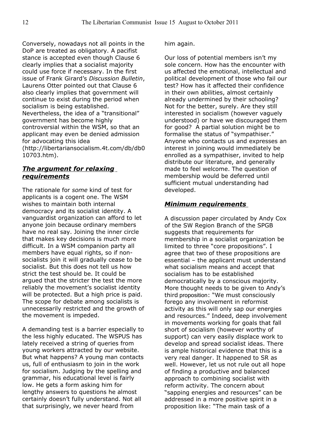Conversely, nowadays not all points in the DoP are treated as obligatory. A pacifist stance is accepted even though Clause 6 clearly implies that a socialist majority could use force if necessary. In the first issue of Frank Girard's *Discussion Bulletin*, Laurens Otter pointed out that Clause 6 also clearly implies that government will continue to exist during the period when socialism is being established. Nevertheless, the idea of a "transitional" government has become highly controversial within the WSM, so that an applicant may even be denied admission for advocating this idea (http://libertariansocialism.4t.com/db/db0 10703.htm).

## *The argument for relaxing requirements*

The rationale for *some* kind of test for applicants is a cogent one. The WSM wishes to maintain both internal democracy and its socialist identity. A vanguardist organization can afford to let anyone join because ordinary members have no real say. Joining the inner circle that makes key decisions is much more difficult. In a WSM companion party all members have equal rights, so if nonsocialists join it will gradually cease to be socialist. But this does not tell us how strict the test should be. It could be argued that the stricter the test the more reliably the movement's socialist identity will be protected. But a high price is paid. The scope for debate among socialists is unnecessarily restricted and the growth of the movement is impeded.

A demanding test is a barrier especially to the less highly educated. The WSPUS has lately received a string of queries from young workers attracted by our website. But what happens? A young man contacts us, full of enthusiasm to join in the work for socialism. Judging by the spelling and grammar, his educational level is fairly low. He gets a form asking him for lengthy answers to questions he almost certainly doesn't fully understand. Not all that surprisingly, we never heard from

him again.

Our loss of potential members isn't my sole concern. How has the encounter with us affected the emotional, intellectual and political development of those who fail our test? How has it affected their confidence in their own abilities, almost certainly already undermined by their schooling? Not for the better, surely. Are they still interested in socialism (however vaguely understood) or have we discouraged them for good? A partial solution might be to formalise the status of "sympathiser." Anyone who contacts us and expresses an interest in joining would immediately be enrolled as a sympathiser, invited to help distribute our literature, and generally made to feel welcome. The question of membership would be deferred until sufficient mutual understanding had developed.

## *Minimum requirements*

A discussion paper circulated by Andy Cox of the SW Region Branch of the SPGB suggests that requirements for membership in a socialist organization be limited to three "core propositions". I agree that two of these propositions are essential – the applicant must understand what socialism means and accept that socialism has to be established democratically by a conscious majority. More thought needs to be given to Andy's third proposition: "We must consciously forego any involvement in reformist activity as this will only sap our energies and resources." Indeed, deep involvement in movements working for goals that fall short of socialism (however worthy of support) can very easily displace work to develop and spread socialist ideas. There is ample historical evidence that this is a very real danger. It happened to SR as well. However, let us not rule out all hope of finding a productive and balanced approach to combining socialist with reform activity. The concern about "sapping energies and resources" can be addressed in a more positive spirit in a proposition like: "The main task of a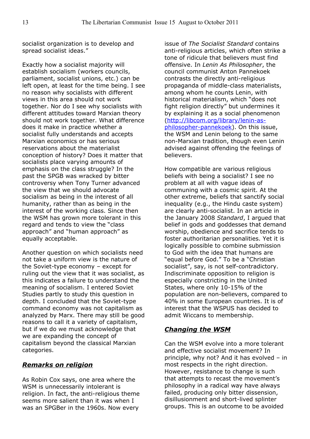socialist organization is to develop and spread socialist ideas."

Exactly how a socialist majority will establish socialism (workers councils, parliament, socialist unions, etc.) can be left open, at least for the time being. I see no reason why socialists with different views in this area should not work together. Nor do I see why socialists with different attitudes toward Marxian theory should not work together. What difference does it make in practice whether a socialist fully understands and accepts Marxian economics or has serious reservations about the materialist conception of history? Does it matter that socialists place varying amounts of emphasis on the class struggle? In the past the SPGB was wracked by bitter controversy when Tony Turner advanced the view that we should advocate socialism as being in the interest of all humanity, rather than as being in the interest of the working class. Since then the WSM has grown more tolerant in this regard and tends to view the "class approach" and "human approach" as equally acceptable.

Another question on which socialists need not take a uniform view is the nature of the Soviet-type economy – except for ruling out the view that it was socialist, as this indicates a failure to understand the meaning of socialism. I entered Soviet Studies partly to study this question in depth. I concluded that the Soviet-type command economy was not capitalism as analyzed by Marx. There may still be good reasons to call it a variety of capitalism, but if we do we must acknowledge that we are expanding the concept of capitalism beyond the classical Marxian categories.

## *Remarks on religion*

As Robin Cox says, one area where the WSM is unnecessarily intolerant is religion. In fact, the anti-religious theme seems more salient than it was when I was an SPGBer in the 1960s. Now every

issue of *The Socialist Standard* contains anti-religious articles, which often strike a tone of ridicule that believers must find offensive. In *Lenin As Philosopher*, the council communist Anton Pannekoek contrasts the directly anti-religious propaganda of middle-class materialists, among whom he counts Lenin, with historical materialism, which "does not fight religion directly" but undermines it by explaining it as a social phenomenon [\(http://libcom.org/library/lenin-as](http://libcom.org/library/lenin-as-philosopher-pannekoek)[philosopher-pannekoek\)](http://libcom.org/library/lenin-as-philosopher-pannekoek). On this issue, the WSM and Lenin belong to the same non-Marxian tradition, though even Lenin advised against offending the feelings of believers.

How compatible are various religious beliefs with being a socialist? I see no problem at all with vague ideas of communing with a cosmic spirit. At the other extreme, beliefs that sanctify social inequality (e.g., the Hindu caste system) are clearly anti-socialist. In an article in the January 2008 *Standard*, I argued that belief in gods and goddesses that demand worship, obedience and sacrifice tends to foster authoritarian personalities. Yet it is logically possible to combine submission to God with the idea that humans are "equal before God." To be a "Christian socialist", say, is not self-contradictory. Indiscriminate opposition to religion is especially constricting in the United States, where only 10-15% of the population are non-believers, compared to 40% in some European countries. It is of interest that the WSPUS has decided to admit Wiccans to membership.

## *Changing the WSM*

Can the WSM evolve into a more tolerant and effective socialist movement? In principle, why not? And it has evolved – in most respects in the right direction. However, resistance to change is such that attempts to recast the movement's philosophy in a radical way have always failed, producing only bitter dissension, disillusionment and short-lived splinter groups. This is an outcome to be avoided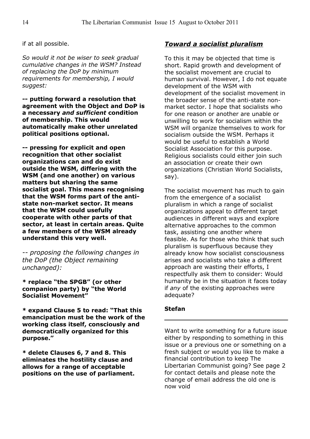if at all possible.

*So would it not be wiser to seek gradual cumulative changes in the WSM? Instead of replacing the DoP by minimum requirements for membership, I would suggest:*

**-- putting forward a resolution that agreement with the Object and DoP is a necessary** *and sufficient* **condition of membership. This would automatically make other unrelated political positions optional.**

**-- pressing for explicit and open recognition that other socialist organizations can and do exist outside the WSM, differing with the WSM (and one another) on various matters but sharing the same socialist goal. This means recognising that the WSM forms part of the antistate non-market sector. It means that the WSM could usefully cooperate with other parts of that sector, at least in certain areas. Quite a few members of the WSM already understand this very well.** 

*-- proposing the following changes in the DoP (the Object remaining unchanged):* 

**\* replace "the SPGB" (or other companion party) by "the World Socialist Movement"**

**\* expand Clause 5 to read: "That this emancipation must be the work of the working class itself, consciously and democratically organized for this purpose."**

**\* delete Clauses 6, 7 and 8. This eliminates the hostility clause and allows for a range of acceptable positions on the use of parliament.**

## *Toward a socialist pluralism*

To this it may be objected that time is short. Rapid growth and development of the socialist movement are crucial to human survival. However, I do not equate development of the WSM with development of the socialist movement in the broader sense of the anti-state nonmarket sector. I hope that socialists who for one reason or another are unable or unwilling to work for socialism within the WSM will organize themselves to work for socialism outside the WSM. Perhaps it would be useful to establish a World Socialist Association for this purpose. Religious socialists could either join such an association or create their own organizations (Christian World Socialists, say).

The socialist movement has much to gain from the emergence of a socialist pluralism in which a range of socialist organizations appeal to different target audiences in different ways and explore alternative approaches to the common task, assisting one another where feasible. As for those who think that such pluralism is superfluous because they already know how socialist consciousness arises and socialists who take a different approach are wasting their efforts, I respectfully ask them to consider: Would humanity be in the situation it faces today if *any* of the existing approaches were adequate?

#### **Stefan**

Want to write something for a future issue either by responding to something in this issue or a previous one or something on a fresh subject or would you like to make a financial contribution to keep The Libertarian Communist going? See page 2 for contact details and please note the change of email address the old one is now void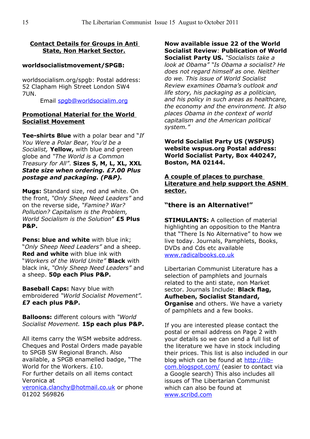### **Contact Details for Groups in Anti State, Non Market Sector.**

#### **worldsocialistmovement/SPGB:**

worldsocialism.org/spgb: Postal address: 52 Clapham High Street London SW4 7UN.

Email [spgb@worldsocialim.org](mailto:spgb@worldsocialim.org)

#### **Promotional Material for the World Socialist Movement**

**Tee-shirts Blue** with a polar bear and "*If You Were a Polar Bear, You'd be a Socialist,* **Yellow,** with blue and green globe and *"The World is a Common Treasury for All"*. **Sizes S, M, L, XL, XXL** *State size when ordering. £7.00 Plus postage and packaging. (P&P).*

**Mugs:** Standard size, red and white. On the front, *"Only Sheep Need Leaders"* and on the reverse side, *"Famine? War? Pollution? Capitalism is the Problem, World Socialism is the Solution*" **£5 Plus P&P.**

**Pens: blue and white** with blue ink; "*Only Sheep Need Leaders"* and a sheep. **Red and white** with blue ink with "*Workers of the World Unite"* **Black** with black ink, *"Only Sheep Need Leaders"* and a sheep. **50p each Plus P&P.**

**Baseball Caps:** Navy blue with embroidered *"World Socialist Movement".* **£7 each plus P&P.**

**Balloons:** different colours with *"World Socialist Movement.* **15p each plus P&P.**

All items carry the WSM website address. Cheques and Postal Orders made payable to SPGB SW Regional Branch. Also available, a SPGB enamelled badge, "The World for the Workers. £10. For further details on all items contact Veronica at

[veronica.clanchy@hotmail.co.uk](mailto:veronica.clanchy@hotmail.co.uk) or phone 01202 569826

**Now available issue 22 of the World Socialist Review**: **Publication of World Socialist Party US.** *"Socialists take a look at Obama" "Is Obama a socialist? He does not regard himself as one. Neither do we. This issue of World Socialist Review examines Obama's outlook and life story, his packaging as a politician, and his policy in such areas as healthcare, the economy and the environment. It also places Obama in the context of world capitalism and the American political system."*

**World Socialist Party US (WSPUS) website wspus.org Postal address: World Socialist Party, Box 440247, Boston, MA 02144.**

**A couple of places to purchase Literature and help support the ASNM sector.**

## **"there is an Alternative!"**

**STIMULANTS:** A collection of material highlighting an opposition to the Mantra that "There Is No Alternative" to how we live today. Journals, Pamphlets, Books, DVDs and Cds etc available [www.radicalbooks.co.uk](http://www.radicalbooks.co.uk/)

Libertarian Communist Literature has a selection of pamphlets and journals related to the anti state, non Market sector. Journals Include: **Black flag, Aufheben, Socialist Standard, Organise** and others. We have a variety of pamphlets and a few books.

If you are interested please contact the postal or email address on Page 2 with your details so we can send a full list of the literature we have in stock including their prices. This list is also included in our blog which can be found at [http://lib](http://lib-com.blogspot.com/)[com.blogspot.com/](http://lib-com.blogspot.com/) (easier to contact via a Google search) This also includes all issues of The Libertarian Communist which can also be found at [www.scribd.com](http://www.scribd.com/)